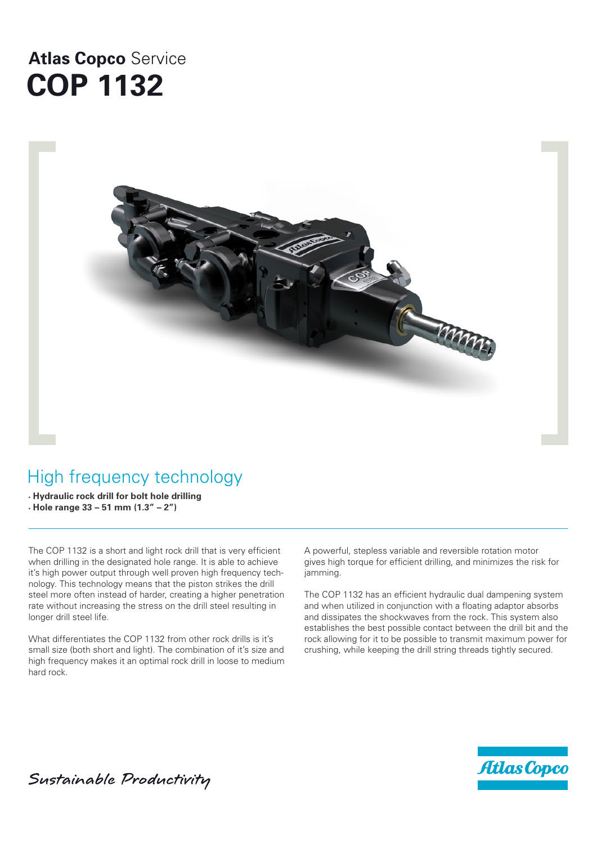# **Atlas Copco** Service **COP 1132**



# High frequency technology

**• Hydraulic rock drill for bolt hole drilling • Hole range 33 – 51 mm (1.3" – 2")**

The COP 1132 is a short and light rock drill that is very efficient when drilling in the designated hole range. It is able to achieve it's high power output through well proven high frequency technology. This technology means that the piston strikes the drill steel more often instead of harder, creating a higher penetration rate without increasing the stress on the drill steel resulting in longer drill steel life.

What differentiates the COP 1132 from other rock drills is it's small size (both short and light). The combination of it's size and high frequency makes it an optimal rock drill in loose to medium hard rock.

A powerful, stepless variable and reversible rotation motor gives high torque for efficient drilling, and minimizes the risk for jamming.

The COP 1132 has an efficient hydraulic dual dampening system and when utilized in conjunction with a floating adaptor absorbs and dissipates the shockwaves from the rock. This system also establishes the best possible contact between the drill bit and the rock allowing for it to be possible to transmit maximum power for crushing, while keeping the drill string threads tightly secured.



Sustainable Productivity